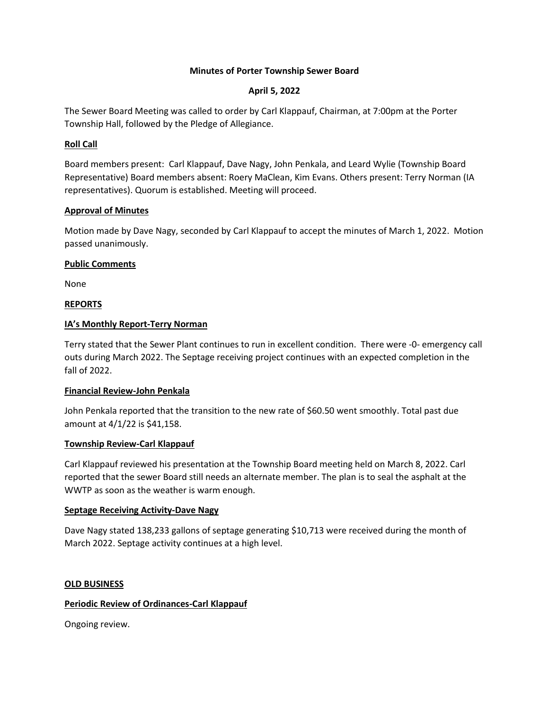# **Minutes of Porter Township Sewer Board**

## **April 5, 2022**

The Sewer Board Meeting was called to order by Carl Klappauf, Chairman, at 7:00pm at the Porter Township Hall, followed by the Pledge of Allegiance.

## **Roll Call**

Board members present: Carl Klappauf, Dave Nagy, John Penkala, and Leard Wylie (Township Board Representative) Board members absent: Roery MaClean, Kim Evans. Others present: Terry Norman (IA representatives). Quorum is established. Meeting will proceed.

## **Approval of Minutes**

Motion made by Dave Nagy, seconded by Carl Klappauf to accept the minutes of March 1, 2022. Motion passed unanimously.

## **Public Comments**

None

## **REPORTS**

## **IA's Monthly Report-Terry Norman**

Terry stated that the Sewer Plant continues to run in excellent condition. There were -0- emergency call outs during March 2022. The Septage receiving project continues with an expected completion in the fall of 2022.

#### **Financial Review-John Penkala**

John Penkala reported that the transition to the new rate of \$60.50 went smoothly. Total past due amount at 4/1/22 is \$41,158.

#### **Township Review-Carl Klappauf**

Carl Klappauf reviewed his presentation at the Township Board meeting held on March 8, 2022. Carl reported that the sewer Board still needs an alternate member. The plan is to seal the asphalt at the WWTP as soon as the weather is warm enough.

#### **Septage Receiving Activity-Dave Nagy**

Dave Nagy stated 138,233 gallons of septage generating \$10,713 were received during the month of March 2022. Septage activity continues at a high level.

# **OLD BUSINESS**

# **Periodic Review of Ordinances-Carl Klappauf**

Ongoing review.